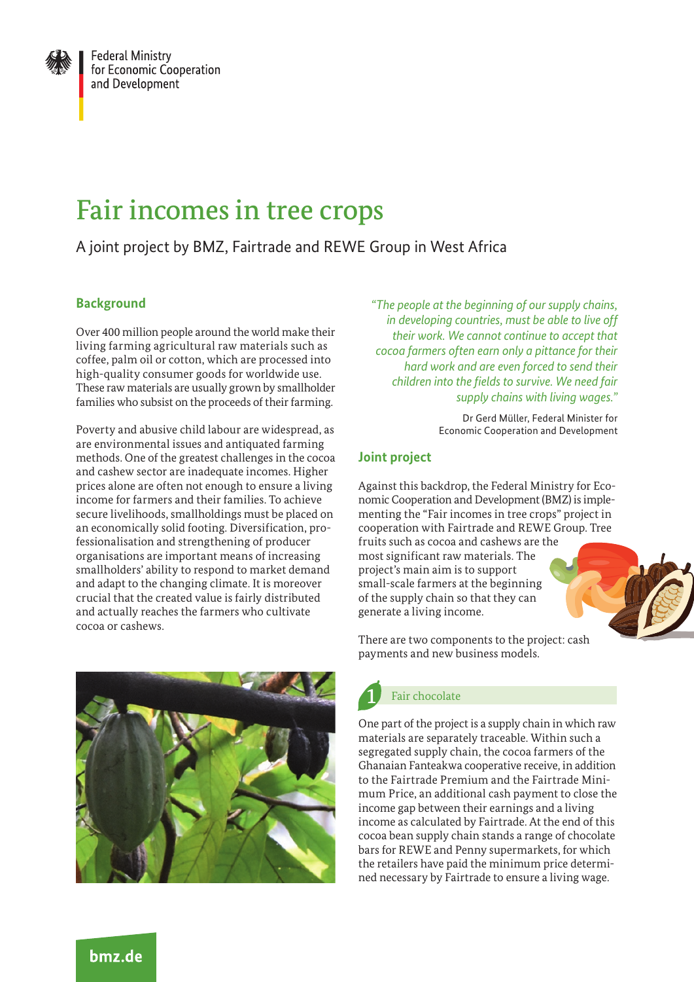

# Fair incomes in tree crops

## A joint project by BMZ, Fairtrade and REWE Group in West Africa

## **Background**

Over 400 million people around the world make their living farming agricultural raw materials such as coffee, palm oil or cotton, which are processed into high-quality consumer goods for worldwide use. These raw materials are usually grown by smallholder families who subsist on the proceeds of their farming.

Poverty and abusive child labour are widespread, as are environmental issues and antiquated farming methods. One of the greatest challenges in the cocoa and cashew sector are inadequate incomes. Higher prices alone are often not enough to ensure a living income for farmers and their families. To achieve secure livelihoods, smallholdings must be placed on an economically solid footing. Diversification, professionalisation and strengthening of producer organisations are important means of increasing smallholders' ability to respond to market demand and adapt to the changing climate. It is moreover crucial that the created value is fairly distributed and actually reaches the farmers who cultivate cocoa or cashews.



*"The people at the beginning of our supply chains, in developing countries, must be able to live off their work. We cannot continue to accept that cocoa farmers often earn only a pittance for their hard work and are even forced to send their children into the fields to survive. We need fair supply chains with living wages."*

> Dr Gerd Müller, Federal Minister for Economic Cooperation and Development

## **Joint project**

Against this backdrop, the Federal Ministry for Economic Cooperation and Development (BMZ) is implementing the "Fair incomes in tree crops" project in cooperation with Fairtrade and REWE Group. Tree

fruits such as cocoa and cashews are the most significant raw materials. The project's main aim is to support small-scale farmers at the beginning of the supply chain so that they can generate a living income.



# Fair chocolate

One part of the project is a supply chain in which raw materials are separately traceable. Within such a segregated supply chain, the cocoa farmers of the Ghanaian Fanteakwa cooperative receive, in addition to the Fairtrade Premium and the Fairtrade Minimum Price, an additional cash payment to close the income gap between their earnings and a living income as calculated by Fairtrade. At the end of this cocoa bean supply chain stands a range of chocolate bars for REWE and Penny supermarkets, for which the retailers have paid the minimum price determined necessary by Fairtrade to ensure a living wage.